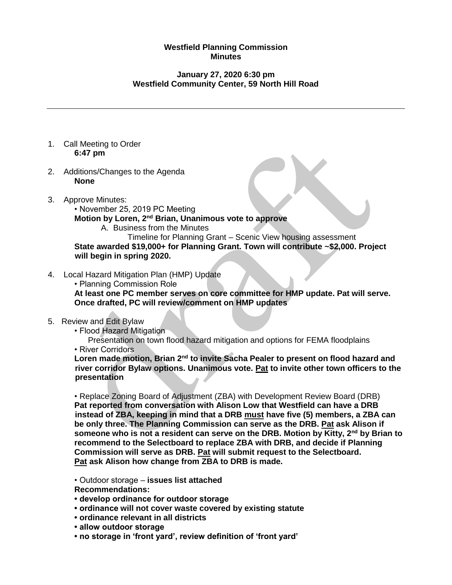## **Westfield Planning Commission Minutes**

## **January 27, 2020 6:30 pm Westfield Community Center, 59 North Hill Road**

- 1. Call Meeting to Order **6:47 pm**
- 2. Additions/Changes to the Agenda **None**
- 3. Approve Minutes:
	- November 25, 2019 PC Meeting

**Motion by Loren, 2nd Brian, Unanimous vote to approve**

A. Business from the Minutes

Timeline for Planning Grant – Scenic View housing assessment **State awarded \$19,000+ for Planning Grant. Town will contribute ~\$2,000. Project will begin in spring 2020.**

- 4. Local Hazard Mitigation Plan (HMP) Update
	- Planning Commission Role

**At least one PC member serves on core committee for HMP update. Pat will serve. Once drafted, PC will review/comment on HMP updates**

- 5. Review and Edit Bylaw
	- Flood Hazard Mitigation
	- Presentation on town flood hazard mitigation and options for FEMA floodplains • River Corridors

**Loren made motion, Brian 2nd to invite Sacha Pealer to present on flood hazard and river corridor Bylaw options. Unanimous vote. Pat to invite other town officers to the presentation**

• Replace Zoning Board of Adjustment (ZBA) with Development Review Board (DRB) **Pat reported from conversation with Alison Low that Westfield can have a DRB instead of ZBA, keeping in mind that a DRB must have five (5) members, a ZBA can be only three. The Planning Commission can serve as the DRB. Pat ask Alison if someone who is not a resident can serve on the DRB. Motion by Kitty, 2nd by Brian to recommend to the Selectboard to replace ZBA with DRB, and decide if Planning Commission will serve as DRB. Pat will submit request to the Selectboard. Pat ask Alison how change from ZBA to DRB is made.**

• Outdoor storage – **issues list attached**

**Recommendations:** 

- **develop ordinance for outdoor storage**
- **ordinance will not cover waste covered by existing statute**
- **ordinance relevant in all districts**
- **allow outdoor storage**
- **no storage in 'front yard', review definition of 'front yard'**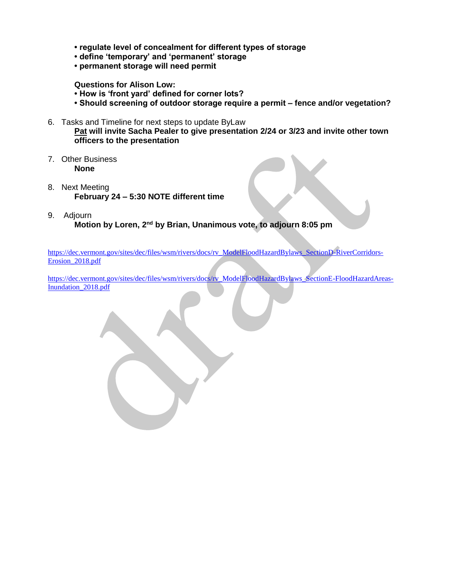- **regulate level of concealment for different types of storage**
- **define 'temporary' and 'permanent' storage**
- **permanent storage will need permit**

## **Questions for Alison Low:**

- **How is 'front yard' defined for corner lots?**
- **Should screening of outdoor storage require a permit – fence and/or vegetation?**
- 6. Tasks and Timeline for next steps to update ByLaw

**Pat will invite Sacha Pealer to give presentation 2/24 or 3/23 and invite other town officers to the presentation**

- 7. Other Business **None**
- 8. Next Meeting **February 24 – 5:30 NOTE different time**
- 9. Adjourn **Motion by Loren, 2nd by Brian, Unanimous vote, to adjourn 8:05 pm**

[https://dec.vermont.gov/sites/dec/files/wsm/rivers/docs/rv\\_ModelFloodHazardBylaws\\_SectionD-RiverCorridors-](https://dec.vermont.gov/sites/dec/files/wsm/rivers/docs/rv_ModelFloodHazardBylaws_SectionD-RiverCorridors-Erosion_2018.pdf)Erosion 2018.pdf

[https://dec.vermont.gov/sites/dec/files/wsm/rivers/docs/rv\\_ModelFloodHazardBylaws\\_SectionE-FloodHazardAreas-](https://dec.vermont.gov/sites/dec/files/wsm/rivers/docs/rv_ModelFloodHazardBylaws_SectionE-FloodHazardAreas-Inundation_2018.pdf)[Inundation\\_2018.pdf](https://dec.vermont.gov/sites/dec/files/wsm/rivers/docs/rv_ModelFloodHazardBylaws_SectionE-FloodHazardAreas-Inundation_2018.pdf)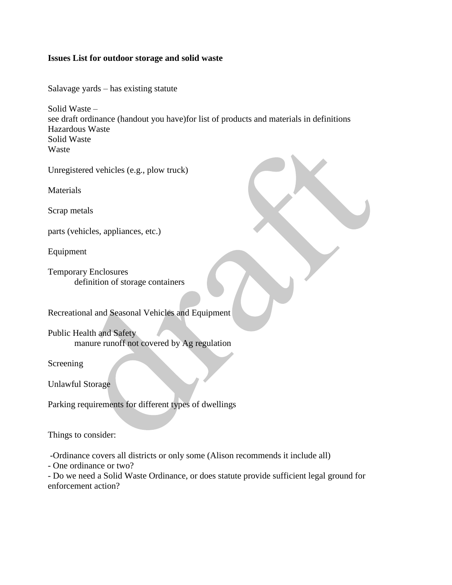## **Issues List for outdoor storage and solid waste**

Salavage yards – has existing statute

Solid Waste – see draft ordinance (handout you have)for list of products and materials in definitions Hazardous Waste Solid Waste Waste

Unregistered vehicles (e.g., plow truck)

Materials

Scrap metals

parts (vehicles, appliances, etc.)

Equipment

Temporary Enclosures definition of storage containers

Recreational and Seasonal Vehicles and Equipment

Public Health and Safety manure runoff not covered by Ag regulation

Screening

Unlawful Storage

Parking requirements for different types of dwellings

Things to consider:

-Ordinance covers all districts or only some (Alison recommends it include all)

- One ordinance or two?

- Do we need a Solid Waste Ordinance, or does statute provide sufficient legal ground for enforcement action?